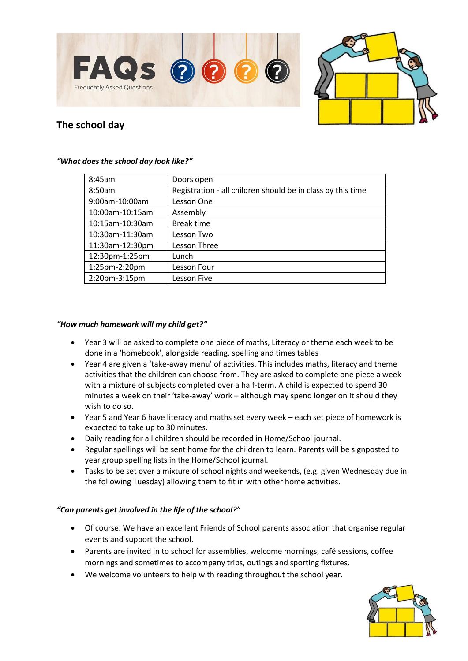



# **The school day**

| 8:45am          | Doors open                                                  |
|-----------------|-------------------------------------------------------------|
| 8:50am          | Registration - all children should be in class by this time |
| 9:00am-10:00am  | Lesson One                                                  |
| 10:00am-10:15am | Assembly                                                    |
| 10:15am-10:30am | <b>Break time</b>                                           |
| 10:30am-11:30am | Lesson Two                                                  |
| 11:30am-12:30pm | Lesson Three                                                |
| 12:30pm-1:25pm  | Lunch                                                       |
| 1:25pm-2:20pm   | Lesson Four                                                 |
| 2:20pm-3:15pm   | Lesson Five                                                 |

#### *"What does the school day look like?"*

#### *"How much homework will my child get?"*

- Year 3 will be asked to complete one piece of maths, Literacy or theme each week to be done in a 'homebook', alongside reading, spelling and times tables
- Year 4 are given a 'take-away menu' of activities. This includes maths, literacy and theme activities that the children can choose from. They are asked to complete one piece a week with a mixture of subjects completed over a half-term. A child is expected to spend 30 minutes a week on their 'take-away' work – although may spend longer on it should they wish to do so.
- Year 5 and Year 6 have literacy and maths set every week each set piece of homework is expected to take up to 30 minutes.
- Daily reading for all children should be recorded in Home/School journal.
- Regular spellings will be sent home for the children to learn. Parents will be signposted to year group spelling lists in the Home/School journal.
- Tasks to be set over a mixture of school nights and weekends, (e.g. given Wednesday due in the following Tuesday) allowing them to fit in with other home activities.

# *"Can parents get involved in the life of the school?"*

- Of course. We have an excellent Friends of School parents association that organise regular events and support the school.
- Parents are invited in to school for assemblies, welcome mornings, café sessions, coffee mornings and sometimes to accompany trips, outings and sporting fixtures.
- We welcome volunteers to help with reading throughout the school year.

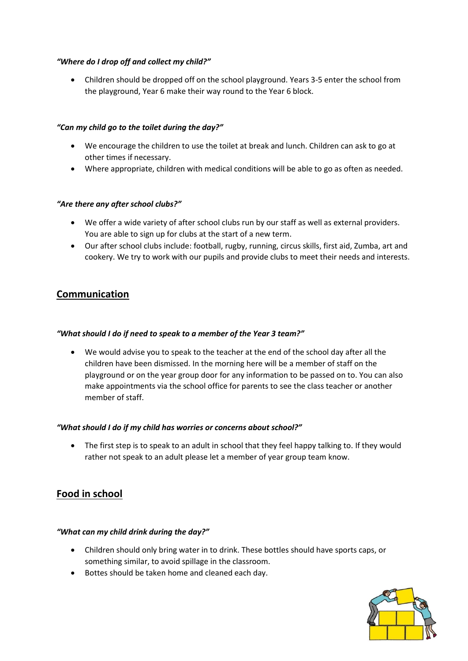# *"Where do I drop off and collect my child?"*

 Children should be dropped off on the school playground. Years 3-5 enter the school from the playground, Year 6 make their way round to the Year 6 block.

# *"Can my child go to the toilet during the day?"*

- We encourage the children to use the toilet at break and lunch. Children can ask to go at other times if necessary.
- Where appropriate, children with medical conditions will be able to go as often as needed.

#### *"Are there any after school clubs?"*

- We offer a wide variety of after school clubs run by our staff as well as external providers. You are able to sign up for clubs at the start of a new term.
- Our after school clubs include: football, rugby, running, circus skills, first aid, Zumba, art and cookery. We try to work with our pupils and provide clubs to meet their needs and interests.

# **Communication**

#### *"What should I do if need to speak to a member of the Year 3 team?"*

 We would advise you to speak to the teacher at the end of the school day after all the children have been dismissed. In the morning here will be a member of staff on the playground or on the year group door for any information to be passed on to. You can also make appointments via the school office for parents to see the class teacher or another member of staff.

#### *"What should I do if my child has worries or concerns about school?"*

 The first step is to speak to an adult in school that they feel happy talking to. If they would rather not speak to an adult please let a member of year group team know.

# **Food in school**

#### *"What can my child drink during the day?"*

- Children should only bring water in to drink. These bottles should have sports caps, or something similar, to avoid spillage in the classroom.
- Bottes should be taken home and cleaned each day.

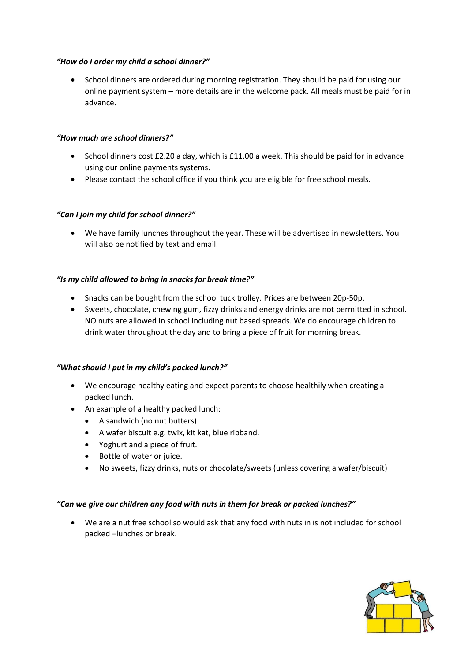#### *"How do I order my child a school dinner?"*

 School dinners are ordered during morning registration. They should be paid for using our online payment system – more details are in the welcome pack. All meals must be paid for in advance.

#### *"How much are school dinners?"*

- School dinners cost £2.20 a day, which is £11.00 a week. This should be paid for in advance using our online payments systems.
- Please contact the school office if you think you are eligible for free school meals.

#### *"Can I join my child for school dinner?"*

 We have family lunches throughout the year. These will be advertised in newsletters. You will also be notified by text and email.

#### *"Is my child allowed to bring in snacks for break time?"*

- Snacks can be bought from the school tuck trolley. Prices are between 20p-50p.
- Sweets, chocolate, chewing gum, fizzy drinks and energy drinks are not permitted in school. NO nuts are allowed in school including nut based spreads. We do encourage children to drink water throughout the day and to bring a piece of fruit for morning break.

# *"What should I put in my child's packed lunch?"*

- We encourage healthy eating and expect parents to choose healthily when creating a packed lunch.
- An example of a healthy packed lunch:
	- A sandwich (no nut butters)
	- A wafer biscuit e.g. twix, kit kat, blue ribband.
	- Yoghurt and a piece of fruit.
	- Bottle of water or juice.
	- No sweets, fizzy drinks, nuts or chocolate/sweets (unless covering a wafer/biscuit)

#### *"Can we give our children any food with nuts in them for break or packed lunches?"*

 We are a nut free school so would ask that any food with nuts in is not included for school packed –lunches or break.